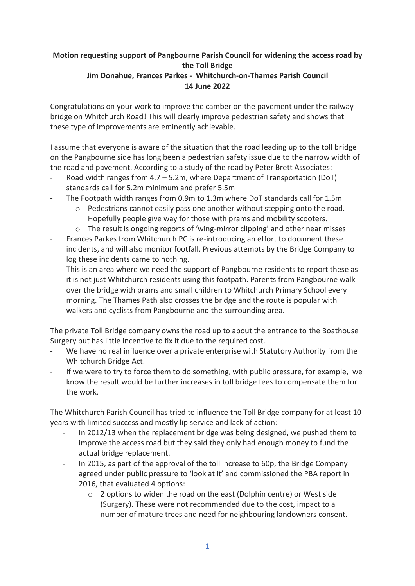## **Motion requesting support of Pangbourne Parish Council for widening the access road by the Toll Bridge Jim Donahue, Frances Parkes - Whitchurch-on-Thames Parish Council 14 June 2022**

Congratulations on your work to improve the camber on the pavement under the railway bridge on Whitchurch Road! This will clearly improve pedestrian safety and shows that these type of improvements are eminently achievable.

I assume that everyone is aware of the situation that the road leading up to the toll bridge on the Pangbourne side has long been a pedestrian safety issue due to the narrow width of the road and pavement. According to a study of the road by Peter Brett Associates:

- Road width ranges from  $4.7 5.2$ m, where Department of Transportation (DoT) standards call for 5.2m minimum and prefer 5.5m
- The Footpath width ranges from 0.9m to 1.3m where DoT standards call for 1.5m
	- $\circ$  Pedestrians cannot easily pass one another without stepping onto the road. Hopefully people give way for those with prams and mobility scooters.
	- o The result is ongoing reports of 'wing-mirror clipping' and other near misses
- Frances Parkes from Whitchurch PC is re-introducing an effort to document these incidents, and will also monitor footfall. Previous attempts by the Bridge Company to log these incidents came to nothing.
- This is an area where we need the support of Pangbourne residents to report these as it is not just Whitchurch residents using this footpath. Parents from Pangbourne walk over the bridge with prams and small children to Whitchurch Primary School every morning. The Thames Path also crosses the bridge and the route is popular with walkers and cyclists from Pangbourne and the surrounding area.

The private Toll Bridge company owns the road up to about the entrance to the Boathouse Surgery but has little incentive to fix it due to the required cost.

- We have no real influence over a private enterprise with Statutory Authority from the Whitchurch Bridge Act.
- If we were to try to force them to do something, with public pressure, for example, we know the result would be further increases in toll bridge fees to compensate them for the work.

The Whitchurch Parish Council has tried to influence the Toll Bridge company for at least 10 years with limited success and mostly lip service and lack of action:

- In 2012/13 when the replacement bridge was being designed, we pushed them to improve the access road but they said they only had enough money to fund the actual bridge replacement.
- In 2015, as part of the approval of the toll increase to 60p, the Bridge Company agreed under public pressure to 'look at it' and commissioned the PBA report in 2016, that evaluated 4 options:
	- o 2 options to widen the road on the east (Dolphin centre) or West side (Surgery). These were not recommended due to the cost, impact to a number of mature trees and need for neighbouring landowners consent.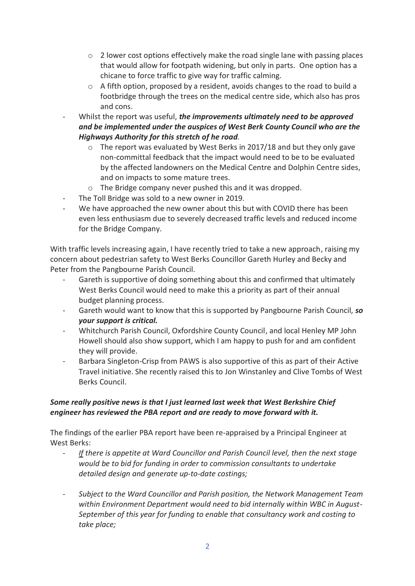- $\circ$  2 lower cost options effectively make the road single lane with passing places that would allow for footpath widening, but only in parts. One option has a chicane to force traffic to give way for traffic calming.
- $\circ$  A fifth option, proposed by a resident, avoids changes to the road to build a footbridge through the trees on the medical centre side, which also has pros and cons.
- Whilst the report was useful, *the improvements ultimately need to be approved and be implemented under the auspices of West Berk County Council who are the Highways Authority for this stretch of he road.*
	- o The report was evaluated by West Berks in 2017/18 and but they only gave non-committal feedback that the impact would need to be to be evaluated by the affected landowners on the Medical Centre and Dolphin Centre sides, and on impacts to some mature trees.
	- o The Bridge company never pushed this and it was dropped.
- The Toll Bridge was sold to a new owner in 2019.
- We have approached the new owner about this but with COVID there has been even less enthusiasm due to severely decreased traffic levels and reduced income for the Bridge Company.

With traffic levels increasing again, I have recently tried to take a new approach, raising my concern about pedestrian safety to West Berks Councillor Gareth Hurley and Becky and Peter from the Pangbourne Parish Council.

- Gareth is supportive of doing something about this and confirmed that ultimately West Berks Council would need to make this a priority as part of their annual budget planning process.
- Gareth would want to know that this is supported by Pangbourne Parish Council, so *your support is critical.*
- Whitchurch Parish Council, Oxfordshire County Council, and local Henley MP John Howell should also show support, which I am happy to push for and am confident they will provide.
- Barbara Singleton-Crisp from PAWS is also supportive of this as part of their Active Travel initiative. She recently raised this to Jon Winstanley and Clive Tombs of West Berks Council.

## *Some really positive news is that I just learned last week that West Berkshire Chief engineer has reviewed the PBA report and are ready to move forward with it.*

The findings of the earlier PBA report have been re-appraised by a Principal Engineer at West Berks:

- If there is appetite at Ward Councillor and Parish Council level, then the next stage *would be to bid for funding in order to commission consultants to undertake detailed design and generate up-to-date costings;*
- *Subject to the Ward Councillor and Parish position, the Network Management Team within Environment Department would need to bid internally within WBC in August-September of this year for funding to enable that consultancy work and costing to take place;*